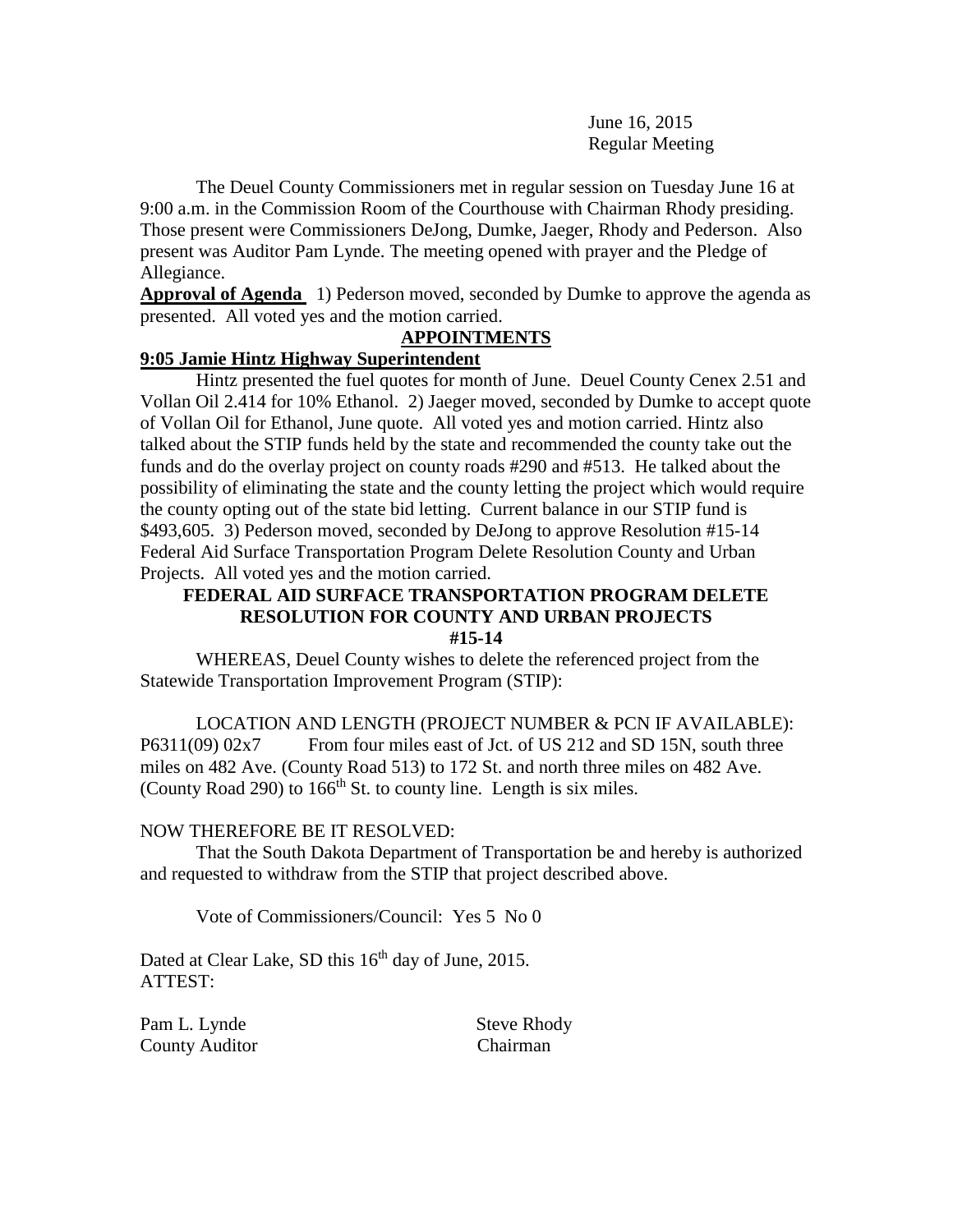June 16, 2015 Regular Meeting

The Deuel County Commissioners met in regular session on Tuesday June 16 at 9:00 a.m. in the Commission Room of the Courthouse with Chairman Rhody presiding. Those present were Commissioners DeJong, Dumke, Jaeger, Rhody and Pederson. Also present was Auditor Pam Lynde. The meeting opened with prayer and the Pledge of Allegiance.

**Approval of Agenda** 1) Pederson moved, seconded by Dumke to approve the agenda as presented. All voted yes and the motion carried.

## **APPOINTMENTS**

## **9:05 Jamie Hintz Highway Superintendent**

Hintz presented the fuel quotes for month of June. Deuel County Cenex 2.51 and Vollan Oil 2.414 for 10% Ethanol. 2) Jaeger moved, seconded by Dumke to accept quote of Vollan Oil for Ethanol, June quote. All voted yes and motion carried. Hintz also talked about the STIP funds held by the state and recommended the county take out the funds and do the overlay project on county roads #290 and #513. He talked about the possibility of eliminating the state and the county letting the project which would require the county opting out of the state bid letting. Current balance in our STIP fund is \$493,605. 3) Pederson moved, seconded by DeJong to approve Resolution #15-14 Federal Aid Surface Transportation Program Delete Resolution County and Urban Projects. All voted yes and the motion carried.

### **FEDERAL AID SURFACE TRANSPORTATION PROGRAM DELETE RESOLUTION FOR COUNTY AND URBAN PROJECTS #15-14**

WHEREAS, Deuel County wishes to delete the referenced project from the Statewide Transportation Improvement Program (STIP):

LOCATION AND LENGTH (PROJECT NUMBER & PCN IF AVAILABLE): P6311(09) 02x7 From four miles east of Jct. of US 212 and SD 15N, south three miles on 482 Ave. (County Road 513) to 172 St. and north three miles on 482 Ave. (County Road 290) to  $166<sup>th</sup>$  St. to county line. Length is six miles.

### NOW THEREFORE BE IT RESOLVED:

That the South Dakota Department of Transportation be and hereby is authorized and requested to withdraw from the STIP that project described above.

Vote of Commissioners/Council: Yes 5 No 0

Dated at Clear Lake, SD this 16<sup>th</sup> day of June, 2015. ATTEST:

Pam L. Lynde Steve Rhody County Auditor Chairman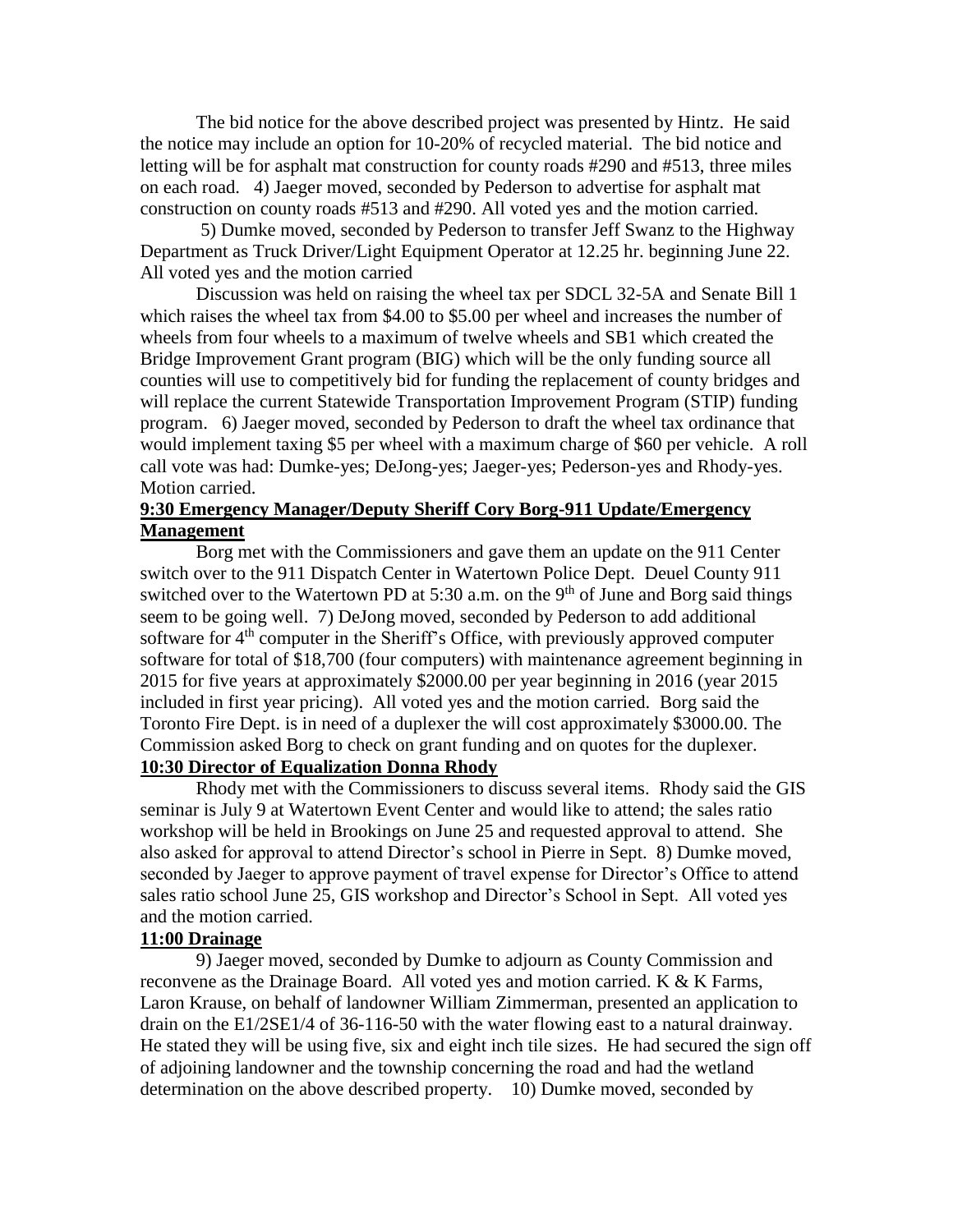The bid notice for the above described project was presented by Hintz. He said the notice may include an option for 10-20% of recycled material. The bid notice and letting will be for asphalt mat construction for county roads #290 and #513, three miles on each road. 4) Jaeger moved, seconded by Pederson to advertise for asphalt mat construction on county roads #513 and #290. All voted yes and the motion carried.

5) Dumke moved, seconded by Pederson to transfer Jeff Swanz to the Highway Department as Truck Driver/Light Equipment Operator at 12.25 hr. beginning June 22. All voted yes and the motion carried

Discussion was held on raising the wheel tax per SDCL 32-5A and Senate Bill 1 which raises the wheel tax from \$4.00 to \$5.00 per wheel and increases the number of wheels from four wheels to a maximum of twelve wheels and SB1 which created the Bridge Improvement Grant program (BIG) which will be the only funding source all counties will use to competitively bid for funding the replacement of county bridges and will replace the current Statewide Transportation Improvement Program (STIP) funding program. 6) Jaeger moved, seconded by Pederson to draft the wheel tax ordinance that would implement taxing \$5 per wheel with a maximum charge of \$60 per vehicle. A roll call vote was had: Dumke-yes; DeJong-yes; Jaeger-yes; Pederson-yes and Rhody-yes. Motion carried.

### **9:30 Emergency Manager/Deputy Sheriff Cory Borg-911 Update/Emergency Management**

Borg met with the Commissioners and gave them an update on the 911 Center switch over to the 911 Dispatch Center in Watertown Police Dept. Deuel County 911 switched over to the Watertown PD at 5:30 a.m. on the 9<sup>th</sup> of June and Borg said things seem to be going well. 7) DeJong moved, seconded by Pederson to add additional software for  $4<sup>th</sup>$  computer in the Sheriff's Office, with previously approved computer software for total of \$18,700 (four computers) with maintenance agreement beginning in 2015 for five years at approximately \$2000.00 per year beginning in 2016 (year 2015 included in first year pricing). All voted yes and the motion carried. Borg said the Toronto Fire Dept. is in need of a duplexer the will cost approximately \$3000.00. The Commission asked Borg to check on grant funding and on quotes for the duplexer. **10:30 Director of Equalization Donna Rhody**

Rhody met with the Commissioners to discuss several items. Rhody said the GIS seminar is July 9 at Watertown Event Center and would like to attend; the sales ratio workshop will be held in Brookings on June 25 and requested approval to attend. She also asked for approval to attend Director's school in Pierre in Sept. 8) Dumke moved, seconded by Jaeger to approve payment of travel expense for Director's Office to attend sales ratio school June 25, GIS workshop and Director's School in Sept. All voted yes and the motion carried.

### **11:00 Drainage**

9) Jaeger moved, seconded by Dumke to adjourn as County Commission and reconvene as the Drainage Board. All voted yes and motion carried. K & K Farms, Laron Krause, on behalf of landowner William Zimmerman, presented an application to drain on the E1/2SE1/4 of 36-116-50 with the water flowing east to a natural drainway. He stated they will be using five, six and eight inch tile sizes. He had secured the sign off of adjoining landowner and the township concerning the road and had the wetland determination on the above described property. 10) Dumke moved, seconded by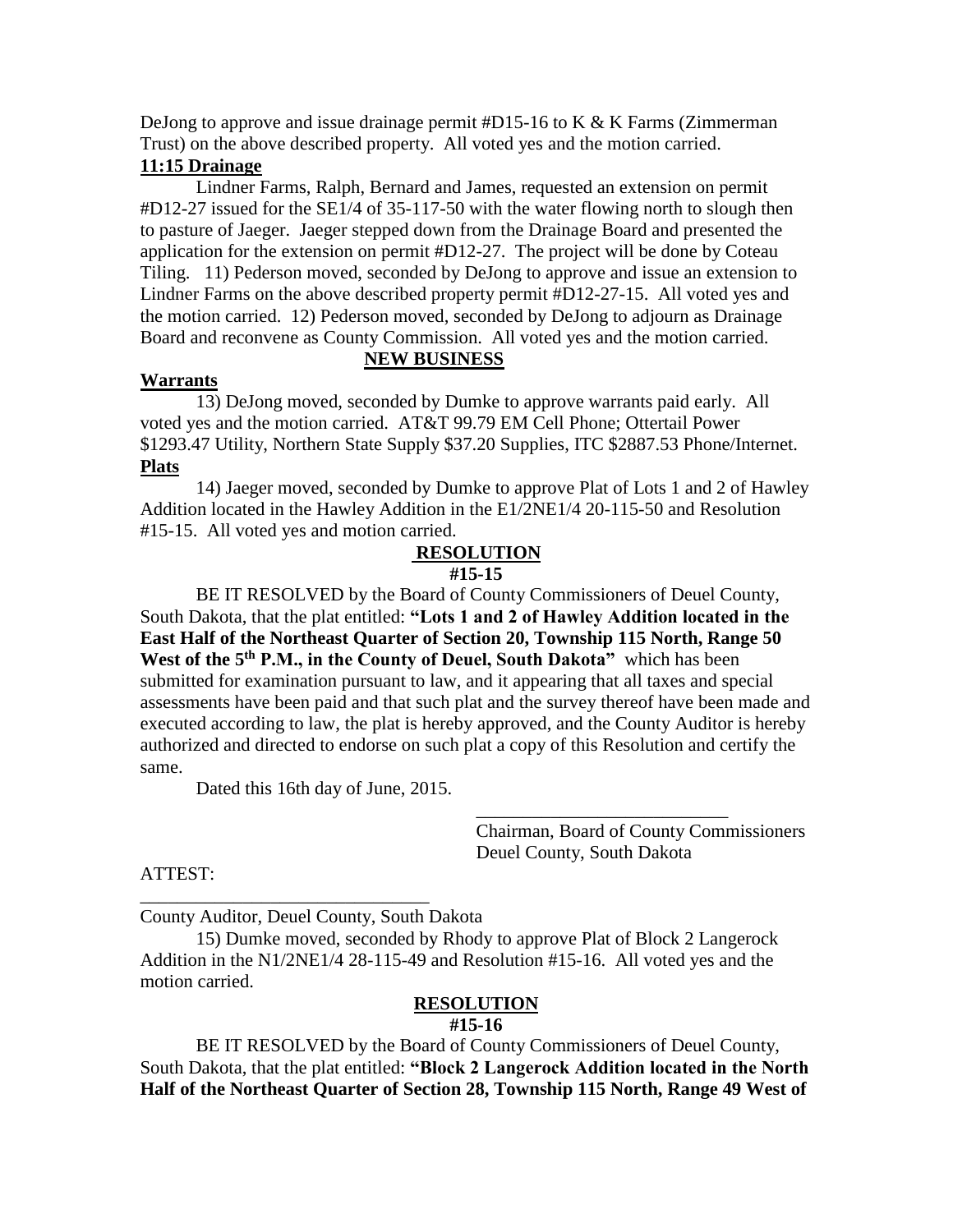DeJong to approve and issue drainage permit  $#D15-16$  to K & K Farms (Zimmerman) Trust) on the above described property. All voted yes and the motion carried.

# **11:15 Drainage**

Lindner Farms, Ralph, Bernard and James, requested an extension on permit #D12-27 issued for the SE1/4 of 35-117-50 with the water flowing north to slough then to pasture of Jaeger. Jaeger stepped down from the Drainage Board and presented the application for the extension on permit #D12-27. The project will be done by Coteau Tiling. 11) Pederson moved, seconded by DeJong to approve and issue an extension to Lindner Farms on the above described property permit #D12-27-15. All voted yes and the motion carried. 12) Pederson moved, seconded by DeJong to adjourn as Drainage Board and reconvene as County Commission. All voted yes and the motion carried.

# **NEW BUSINESS**

# **Warrants**

13) DeJong moved, seconded by Dumke to approve warrants paid early. All voted yes and the motion carried. AT&T 99.79 EM Cell Phone; Ottertail Power \$1293.47 Utility, Northern State Supply \$37.20 Supplies, ITC \$2887.53 Phone/Internet. **Plats**

14) Jaeger moved, seconded by Dumke to approve Plat of Lots 1 and 2 of Hawley Addition located in the Hawley Addition in the E1/2NE1/4 20-115-50 and Resolution #15-15. All voted yes and motion carried.

# **RESOLUTION**

## **#15-15**

BE IT RESOLVED by the Board of County Commissioners of Deuel County, South Dakota, that the plat entitled: **"Lots 1 and 2 of Hawley Addition located in the East Half of the Northeast Quarter of Section 20, Township 115 North, Range 50 West of the 5th P.M., in the County of Deuel, South Dakota"** which has been submitted for examination pursuant to law, and it appearing that all taxes and special assessments have been paid and that such plat and the survey thereof have been made and executed according to law, the plat is hereby approved, and the County Auditor is hereby authorized and directed to endorse on such plat a copy of this Resolution and certify the same.

Dated this 16th day of June, 2015.

Chairman, Board of County Commissioners Deuel County, South Dakota

\_\_\_\_\_\_\_\_\_\_\_\_\_\_\_\_\_\_\_\_\_\_\_\_\_\_\_

# ATTEST:

\_\_\_\_\_\_\_\_\_\_\_\_\_\_\_\_\_\_\_\_\_\_\_\_\_\_\_\_\_\_\_ County Auditor, Deuel County, South Dakota

15) Dumke moved, seconded by Rhody to approve Plat of Block 2 Langerock Addition in the N1/2NE1/4 28-115-49 and Resolution #15-16. All voted yes and the motion carried.

# **RESOLUTION**

## **#15-16**

BE IT RESOLVED by the Board of County Commissioners of Deuel County, South Dakota, that the plat entitled: **"Block 2 Langerock Addition located in the North Half of the Northeast Quarter of Section 28, Township 115 North, Range 49 West of**